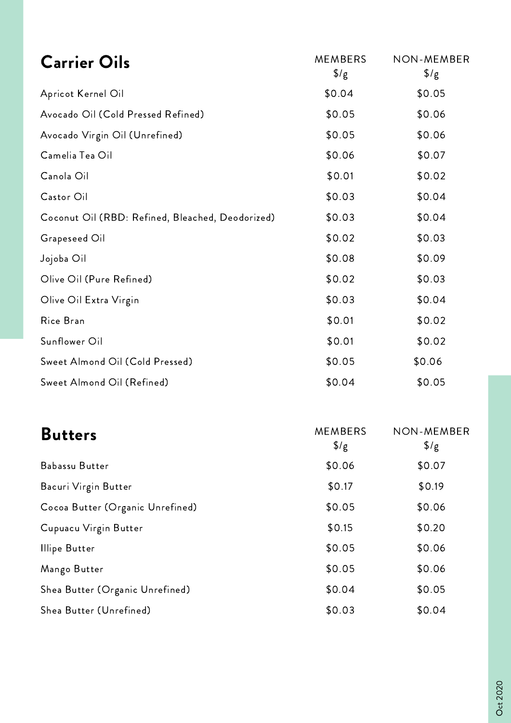| <b>Carrier Oils</b>                              | <b>MEMBERS</b><br>$\frac{1}{2}$ /g | <b>NON-MEMBER</b><br>$\frac{1}{2}$ |
|--------------------------------------------------|------------------------------------|------------------------------------|
| Apricot Kernel Oil                               | \$0.04                             | \$0.05                             |
| Avocado Oil (Cold Pressed Refined)               | \$0.05                             | \$0.06                             |
| Avocado Virgin Oil (Unrefined)                   | \$0.05                             | \$0.06                             |
| Camelia Tea Oil                                  | \$0.06                             | \$0.07                             |
| Canola Oil                                       | \$0.01                             | \$0.02                             |
| Castor Oil                                       | \$0.03                             | \$0.04                             |
| Coconut Oil (RBD: Refined, Bleached, Deodorized) | \$0.03                             | \$0.04                             |
| Grapeseed Oil                                    | \$0.02                             | \$0.03                             |
| Jojoba Oil                                       | \$0.08                             | \$0.09                             |
| Olive Oil (Pure Refined)                         | \$0.02                             | \$0.03                             |
| Olive Oil Extra Virgin                           | \$0.03                             | \$0.04                             |
| Rice Bran                                        | \$0.01                             | \$0.02                             |
| Sunflower Oil                                    | \$0.01                             | \$0.02                             |
| Sweet Almond Oil (Cold Pressed)                  | \$0.05                             | \$0.06                             |
| Sweet Almond Oil (Refined)                       | \$0.04                             | \$0.05                             |
|                                                  |                                    |                                    |

| <b>Butters</b>                   | <b>MEMBERS</b><br>$\frac{1}{2}$ | NON-MEMBER<br>$\frac{1}{2}$ |
|----------------------------------|---------------------------------|-----------------------------|
| Babassu Butter                   | \$0.06                          | \$0.07                      |
| Bacuri Virgin Butter             | \$0.17                          | \$0.19                      |
| Cocoa Butter (Organic Unrefined) | \$0.05                          | \$0.06                      |
| Cupuacu Virgin Butter            | \$0.15                          | \$0.20                      |
| <b>Illipe Butter</b>             | \$0.05                          | \$0.06                      |
| Mango Butter                     | \$0.05                          | \$0.06                      |
| Shea Butter (Organic Unrefined)  | \$0.04                          | \$0.05                      |
| Shea Butter (Unrefined)          | \$0.03                          | \$0.04                      |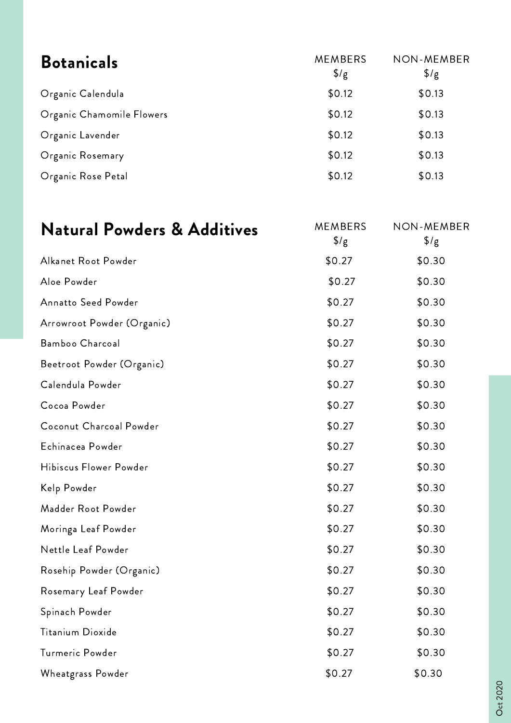| <b>Botanicals</b>         | <b>MEMBERS</b><br>$\frac{1}{2}$ | NON-MEMBER<br>$\frac{1}{2}$ |
|---------------------------|---------------------------------|-----------------------------|
| Organic Calendula         | \$0.12                          | \$0.13                      |
| Organic Chamomile Flowers | \$0.12                          | \$0.13                      |
| Organic Lavender          | \$0.12                          | \$0.13                      |
| Organic Rosemary          | \$0.12                          | \$0.13                      |
| Organic Rose Petal        | \$0.12                          | \$0.13                      |

| <b>Natural Powders &amp; Additives</b> | <b>MEMBERS</b><br>$\frac{1}{2}$ /g | <b>NON-MEMBER</b><br>$\frac{1}{2}$ /g |
|----------------------------------------|------------------------------------|---------------------------------------|
| Alkanet Root Powder                    | \$0.27                             | \$0.30                                |
| Aloe Powder                            | \$0.27                             | \$0.30                                |
| <b>Annatto Seed Powder</b>             | \$0.27                             | \$0.30                                |
| Arrowroot Powder (Organic)             | \$0.27                             | \$0.30                                |
| Bamboo Charcoal                        | \$0.27                             | \$0.30                                |
| Beetroot Powder (Organic)              | \$0.27                             | \$0.30                                |
| Calendula Powder                       | \$0.27                             | \$0.30                                |
| Cocoa Powder                           | \$0.27                             | \$0.30                                |
| Coconut Charcoal Powder                | \$0.27                             | \$0.30                                |
| Echinacea Powder                       | \$0.27                             | \$0.30                                |
| Hibiscus Flower Powder                 | \$0.27                             | \$0.30                                |
| Kelp Powder                            | \$0.27                             | \$0.30                                |
| Madder Root Powder                     | \$0.27                             | \$0.30                                |
| Moringa Leaf Powder                    | \$0.27                             | \$0.30                                |
| Nettle Leaf Powder                     | \$0.27                             | \$0.30                                |
| Rosehip Powder (Organic)               | \$0.27                             | \$0.30                                |
| Rosemary Leaf Powder                   | \$0.27                             | \$0.30                                |
| Spinach Powder                         | \$0.27                             | \$0.30                                |
| Titanium Dioxide                       | \$0.27                             | \$0.30                                |
| Turmeric Powder                        | \$0.27                             | \$0.30                                |
| Wheatgrass Powder                      | \$0.27                             | \$0.30                                |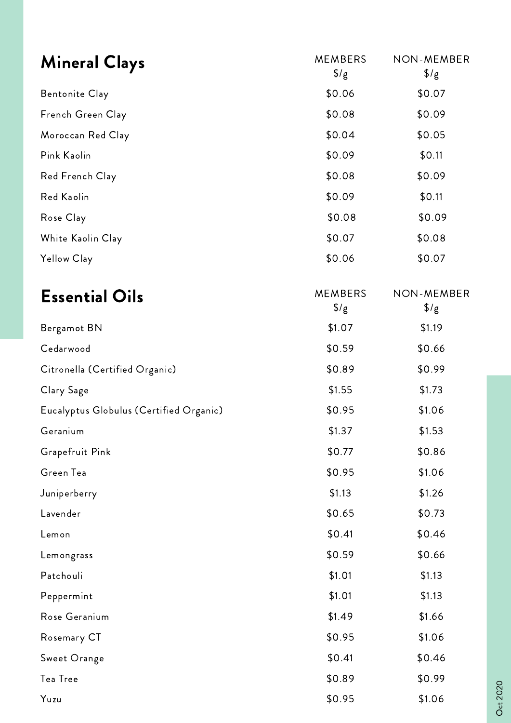| <b>Mineral Clays</b>                    | <b>MEMBERS</b><br>$\sqrt[6]{g}$    | <b>NON-MEMBER</b><br>$\frac{1}{2}$ /g |
|-----------------------------------------|------------------------------------|---------------------------------------|
| <b>Bentonite Clay</b>                   | \$0.06                             | \$0.07                                |
| French Green Clay                       | \$0.08                             | \$0.09                                |
| Moroccan Red Clay                       | \$0.04                             | \$0.05                                |
| Pink Kaolin                             | \$0.09                             | \$0.11                                |
| Red French Clay                         | \$0.08                             | \$0.09                                |
| Red Kaolin                              | \$0.09                             | \$0.11                                |
| Rose Clay                               | \$0.08                             | \$0.09                                |
| White Kaolin Clay                       | \$0.07                             | \$0.08                                |
| Yellow Clay                             | \$0.06                             | \$0.07                                |
| <b>Essential Oils</b>                   | <b>MEMBERS</b><br>$\frac{1}{2}$ /g | <b>NON-MEMBER</b><br>$\frac{1}{2}$ /g |
| Bergamot BN                             | \$1.07                             | \$1.19                                |
| Cedarwood                               | \$0.59                             | \$0.66                                |
| Citronella (Certified Organic)          | \$0.89                             | \$0.99                                |
| Clary Sage                              | \$1.55                             | \$1.73                                |
| Eucalyptus Globulus (Certified Organic) | \$0.95                             | \$1.06                                |
| Geranium                                | \$1.37                             | \$1.53                                |
| Grapefruit Pink                         | \$0.77                             | \$0.86                                |
| Green Tea                               | \$0.95                             | \$1.06                                |
| Juniperberry                            | \$1.13                             | \$1.26                                |
| Lavender                                | \$0.65                             | \$0.73                                |
| Lemon                                   | \$0.41                             | \$0.46                                |
| Lemongrass                              | \$0.59                             | \$0.66                                |
| Patchouli                               | \$1.01                             | \$1.13                                |
| Peppermint                              | \$1.01                             | \$1.13                                |
| Rose Geranium                           | \$1.49                             | \$1.66                                |
| Rosemary CT                             | \$0.95                             | \$1.06                                |
| Sweet Orange                            | \$0.41                             | \$0.46                                |
| Tea Tree                                | \$0.89                             | \$0.99                                |
| Yuzu                                    | \$0.95                             | \$1.06                                |